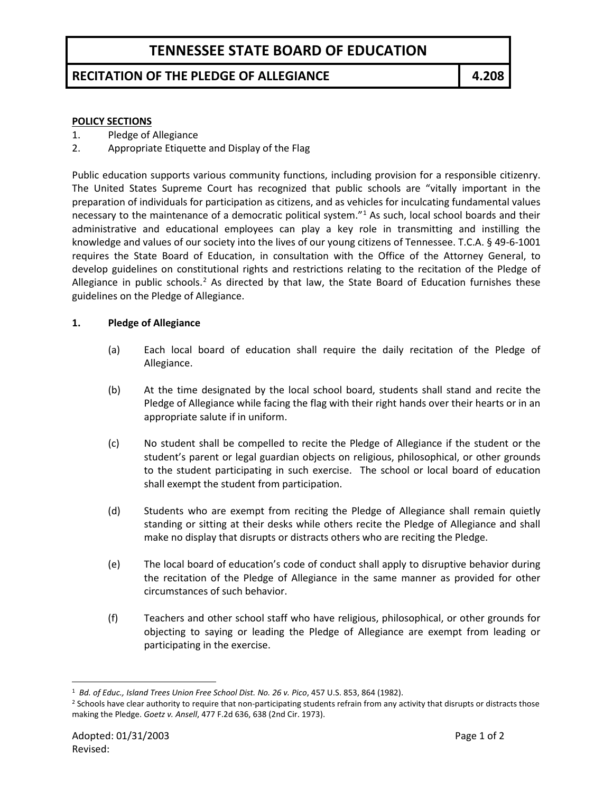# **TENNESSEE STATE BOARD OF EDUCATION**

## **RECITATION OF THE PLEDGE OF ALLEGIANCE 4.208**

#### **POLICY SECTIONS**

- 1. Pledge of Allegiance
- 2. Appropriate Etiquette and Display of the Flag

Public education supports various community functions, including provision for a responsible citizenry. The United States Supreme Court has recognized that public schools are "vitally important in the preparation of individuals for participation as citizens, and as vehicles for inculcating fundamental values necessary to the maintenance of a democratic political system."<sup>[1](#page-0-0)</sup> As such, local school boards and their administrative and educational employees can play a key role in transmitting and instilling the knowledge and values of our society into the lives of our young citizens of Tennessee. T.C.A. § 49-6-1001 requires the State Board of Education, in consultation with the Office of the Attorney General, to develop guidelines on constitutional rights and restrictions relating to the recitation of the Pledge of Allegiance in public schools.<sup>[2](#page-0-1)</sup> As directed by that law, the State Board of Education furnishes these guidelines on the Pledge of Allegiance.

#### **1. Pledge of Allegiance**

- (a) Each local board of education shall require the daily recitation of the Pledge of Allegiance.
- (b) At the time designated by the local school board, students shall stand and recite the Pledge of Allegiance while facing the flag with their right hands over their hearts or in an appropriate salute if in uniform.
- (c) No student shall be compelled to recite the Pledge of Allegiance if the student or the student's parent or legal guardian objects on religious, philosophical, or other grounds to the student participating in such exercise. The school or local board of education shall exempt the student from participation.
- (d) Students who are exempt from reciting the Pledge of Allegiance shall remain quietly standing or sitting at their desks while others recite the Pledge of Allegiance and shall make no display that disrupts or distracts others who are reciting the Pledge.
- (e) The local board of education's code of conduct shall apply to disruptive behavior during the recitation of the Pledge of Allegiance in the same manner as provided for other circumstances of such behavior.
- (f) Teachers and other school staff who have religious, philosophical, or other grounds for objecting to saying or leading the Pledge of Allegiance are exempt from leading or participating in the exercise.

<span id="page-0-0"></span>1 *Bd. of Educ., Island Trees Union Free School Dist. No. 26 v. Pico*, 457 U.S. 853, 864 (1982).

<span id="page-0-1"></span><sup>&</sup>lt;sup>2</sup> Schools have clear authority to require that non-participating students refrain from any activity that disrupts or distracts those making the Pledge. *Goetz v. Ansell*, 477 F.2d 636, 638 (2nd Cir. 1973).